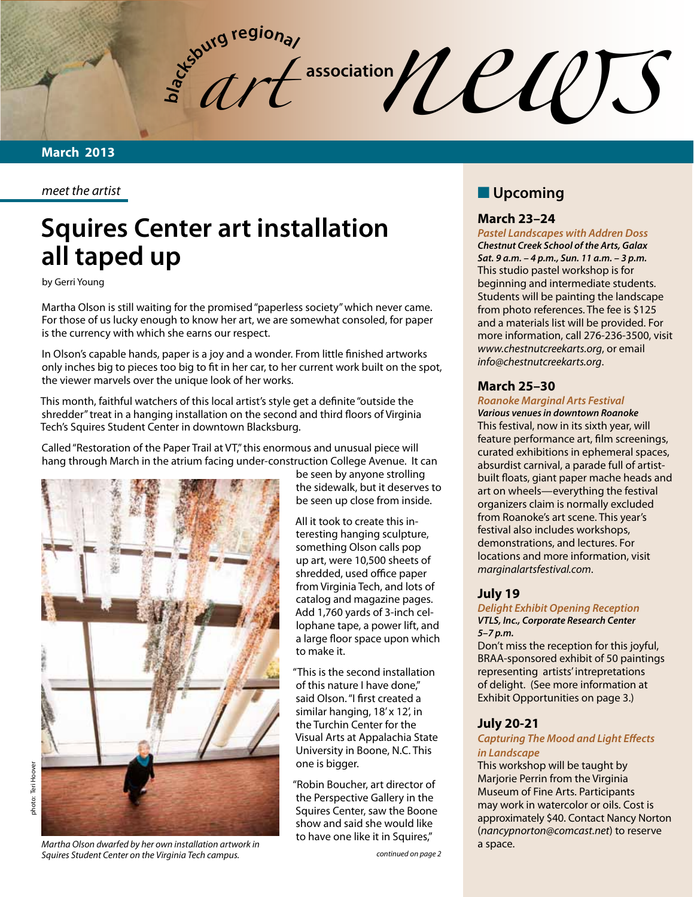**bla** *art*  $\frac{1}{2}$  association  $\frac{1}{2}$   $\frac{1}{2}$   $\frac{1}{2}$   $\frac{1}{2}$ 

*meet the artist*

# **Squires Center art installation all taped up**

by Gerri Young

Martha Olson is still waiting for the promised "paperless society" which never came. For those of us lucky enough to know her art, we are somewhat consoled, for paper is the currency with which she earns our respect.

In Olson's capable hands, paper is a joy and a wonder. From little finished artworks only inches big to pieces too big to fit in her car, to her current work built on the spot, the viewer marvels over the unique look of her works.

This month, faithful watchers of this local artist's style get a definite "outside the shredder" treat in a hanging installation on the second and third floors of Virginia Tech's Squires Student Center in downtown Blacksburg.

Called "Restoration of the Paper Trail at VT," this enormous and unusual piece will hang through March in the atrium facing under-construction College Avenue. It can



be seen by anyone strolling the sidewalk, but it deserves to be seen up close from inside.

All it took to create this interesting hanging sculpture, something Olson calls pop up art, were 10,500 sheets of shredded, used office paper from Virginia Tech, and lots of catalog and magazine pages. Add 1,760 yards of 3-inch cellophane tape, a power lift, and a large floor space upon which to make it.

"This is the second installation of this nature I have done," said Olson. "I first created a similar hanging, 18' x 12', in the Turchin Center for the Visual Arts at Appalachia State University in Boone, N.C. This one is bigger.

"Robin Boucher, art director of the Perspective Gallery in the Squires Center, saw the Boone show and said she would like to have one like it in Squires,"

## **N** Upcoming

#### **March 23–24**

*Pastel Landscapes with Addren Doss Chestnut Creek School of the Arts, Galax Sat. 9 a.m. – 4 p.m., Sun. 11 a.m. – 3 p.m.* This studio pastel workshop is for beginning and intermediate students. Students will be painting the landscape from photo references. The fee is \$125 and a materials list will be provided. For more information, call 276-236-3500, visit *www.chestnutcreekarts.org*, or email *info@chestnutcreekarts.org*.

#### **March 25–30**

#### *Roanoke Marginal Arts Festival*

*Various venues in downtown Roanoke* This festival, now in its sixth year, will feature performance art, film screenings, curated exhibitions in ephemeral spaces, absurdist carnival, a parade full of artistbuilt floats, giant paper mache heads and art on wheels—everything the festival organizers claim is normally excluded from Roanoke's art scene. This year's festival also includes workshops, demonstrations, and lectures. For locations and more information, visit *marginalartsfestival.com*.

#### **July 19**

*Delight Exhibit Opening Reception VTLS, Inc., Corporate Research Center 5–7 p.m.*

Don't miss the reception for this joyful, BRAA-sponsored exhibit of 50 paintings representing artists' intrepretations of delight. (See more information at Exhibit Opportunities on page 3.)

#### **July 20-21**

#### *Capturing The Mood and Light Effects in Landscape*

This workshop will be taught by Marjorie Perrin from the Virginia Museum of Fine Arts. Participants may work in watercolor or oils. Cost is approximately \$40. Contact Nancy Norton (*nancypnorton@comcast.net*) to reserve a space.

*Martha Olson dwarfed by her own installation artwork in Squires Student Center on the Virginia Tech campus.*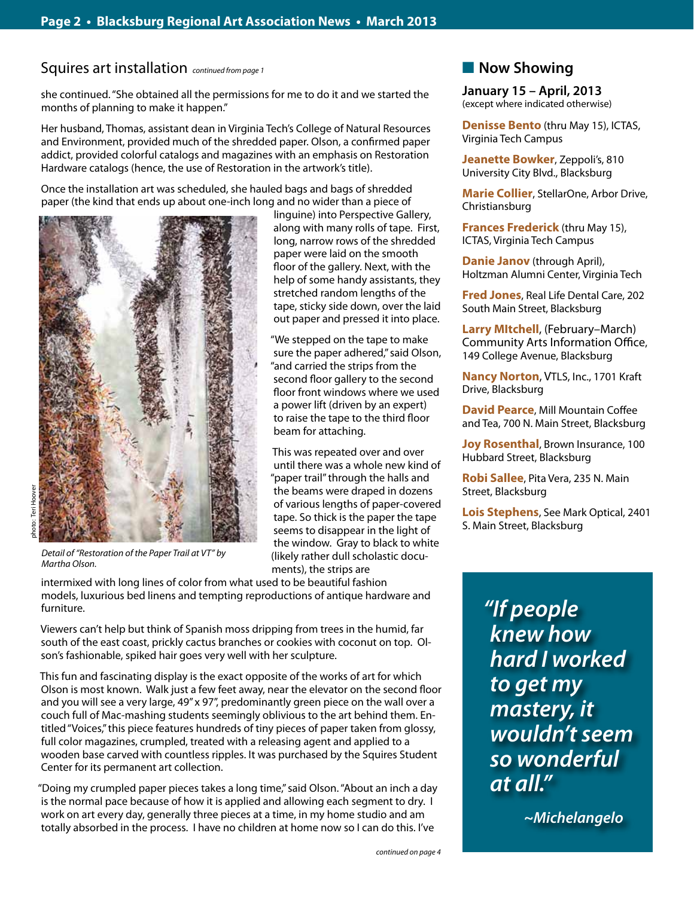Squires art installation *continued from page 1*

she continued. "She obtained all the permissions for me to do it and we started the months of planning to make it happen."

Her husband, Thomas, assistant dean in Virginia Tech's College of Natural Resources and Environment, provided much of the shredded paper. Olson, a confirmed paper addict, provided colorful catalogs and magazines with an emphasis on Restoration Hardware catalogs (hence, the use of Restoration in the artwork's title).

> linguine) into Perspective Gallery, along with many rolls of tape. First, long, narrow rows of the shredded paper were laid on the smooth floor of the gallery. Next, with the help of some handy assistants, they stretched random lengths of the tape, sticky side down, over the laid out paper and pressed it into place. "We stepped on the tape to make sure the paper adhered," said Olson, "and carried the strips from the second floor gallery to the second floor front windows where we used a power lift (driven by an expert) to raise the tape to the third floor

beam for attaching.

ments), the strips are

This was repeated over and over until there was a whole new kind of "paper trail" through the halls and the beams were draped in dozens of various lengths of paper-covered tape. So thick is the paper the tape seems to disappear in the light of the window. Gray to black to white (likely rather dull scholastic docu-

Once the installation art was scheduled, she hauled bags and bags of shredded paper (the kind that ends up about one-inch long and no wider than a piece of



*Detail of "Restoration of the Paper Trail at VT" by Martha Olson.* 

intermixed with long lines of color from what used to be beautiful fashion models, luxurious bed linens and tempting reproductions of antique hardware and furniture.

Viewers can't help but think of Spanish moss dripping from trees in the humid, far south of the east coast, prickly cactus branches or cookies with coconut on top. Olson's fashionable, spiked hair goes very well with her sculpture.

This fun and fascinating display is the exact opposite of the works of art for which Olson is most known. Walk just a few feet away, near the elevator on the second floor and you will see a very large, 49" x 97", predominantly green piece on the wall over a couch full of Mac-mashing students seemingly oblivious to the art behind them. Entitled "Voices," this piece features hundreds of tiny pieces of paper taken from glossy, full color magazines, crumpled, treated with a releasing agent and applied to a wooden base carved with countless ripples. It was purchased by the Squires Student Center for its permanent art collection.

"Doing my crumpled paper pieces takes a long time," said Olson. "About an inch a day is the normal pace because of how it is applied and allowing each segment to dry. I work on art every day, generally three pieces at a time, in my home studio and am totally absorbed in the process. I have no children at home now so I can do this. I've

## **Now Showing**

**January 15 – April, 2013** (except where indicated otherwise)

**Denisse Bento** (thru May 15), ICTAS, Virginia Tech Campus

**Jeanette Bowker**, Zeppoli's, 810 University City Blvd., Blacksburg

**Marie Collier**, StellarOne, Arbor Drive, Christiansburg

**Frances Frederick** (thru May 15), ICTAS, Virginia Tech Campus

**Danie Janov** (through April), Holtzman Alumni Center, Virginia Tech

**Fred Jones**, Real Life Dental Care, 202 South Main Street, Blacksburg

**Larry MItchell**, (February–March) Community Arts Information Office, 149 College Avenue, Blacksburg

**Nancy Norton**, VTLS, Inc., 1701 Kraft Drive, Blacksburg

**David Pearce**, Mill Mountain Coffee and Tea, 700 N. Main Street, Blacksburg

**Joy Rosenthal, Brown Insurance, 100** Hubbard Street, Blacksburg

**Robi Sallee**, Pita Vera, 235 N. Main Street, Blacksburg

**Lois Stephens**, See Mark Optical, 2401 S. Main Street, Blacksburg

> *"If people knew how hard I worked to get my mastery, it wouldn't seem so wonderful at all."*

> > *~Michelangelo*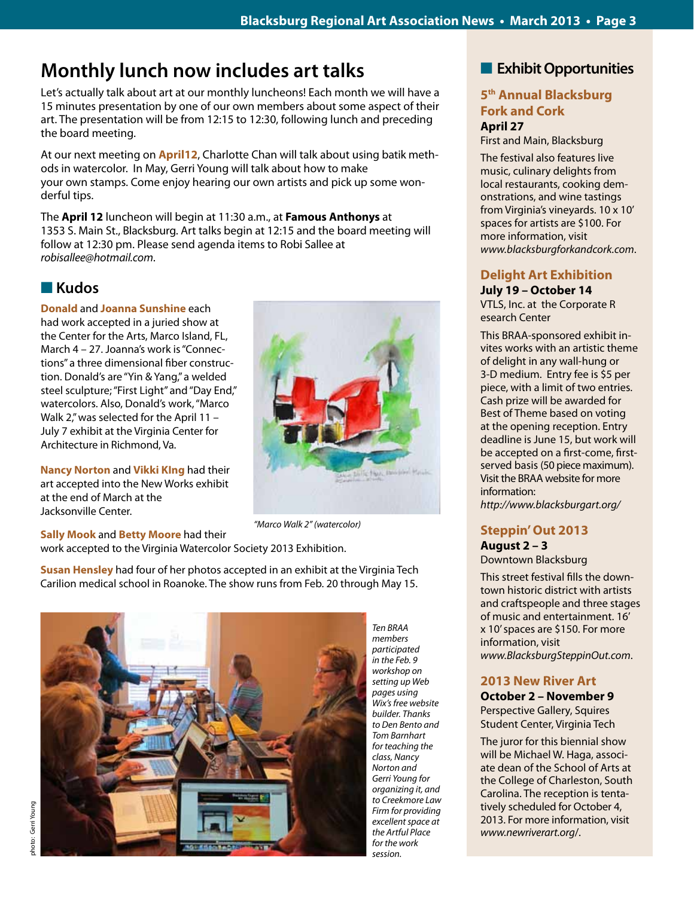## **Monthly lunch now includes art talks**

Let's actually talk about art at our monthly luncheons! Each month we will have a 15 minutes presentation by one of our own members about some aspect of their art. The presentation will be from 12:15 to 12:30, following lunch and preceding the board meeting.

At our next meeting on **April12**, Charlotte Chan will talk about using batik methods in watercolor. In May, Gerri Young will talk about how to make your own stamps. Come enjoy hearing our own artists and pick up some wonderful tips.

The **April 12** luncheon will begin at 11:30 a.m., at **Famous Anthonys** at 1353 S. Main St., Blacksburg. Art talks begin at 12:15 and the board meeting will follow at 12:30 pm. Please send agenda items to Robi Sallee at *robisallee@hotmail.com*.

## n **Kudos**

**Donald** and **Joanna Sunshine** each had work accepted in a juried show at the Center for the Arts, Marco Island, FL, March 4 – 27. Joanna's work is "Connections" a three dimensional fiber construction. Donald's are "Yin & Yang," a welded steel sculpture; "First Light" and "Day End," watercolors. Also, Donald's work, "Marco Walk 2," was selected for the April 11 -July 7 exhibit at the Virginia Center for Architecture in Richmond, Va.

**Nancy Norton** and **Vikki KIng** had their art accepted into the New Works exhibit at the end of March at the Jacksonville Center.



*"Marco Walk 2" (watercolor)* 

**Sally Mook** and **Betty Moore** had their work accepted to the Virginia Watercolor Society 2013 Exhibition.

**Susan Hensley** had four of her photos accepted in an exhibit at the Virginia Tech Carilion medical school in Roanoke. The show runs from Feb. 20 through May 15.



*Ten BRAA members participated in the Feb. 9 workshop on setting up Web pages using Wix's free website builder. Thanks to Den Bento and Tom Barnhart for teaching the class, Nancy Norton and Gerri Young for organizing it, and to Creekmore Law Firm for providing excellent space at the Artful Place for the work session.* 

## **Exhibit Opportunities**

#### **5th Annual Blacksburg Fork and Cork April 27**

First and Main, Blacksburg

The festival also features live music, culinary delights from local restaurants, cooking demonstrations, and wine tastings from Virginia's vineyards. 10 x 10' spaces for artists are \$100. For more information, visit *www.blacksburgforkandcork.com*.

### **Delight Art Exhibition**

## **July 19 – October 14**

VTLS, Inc. at the Corporate R esearch Center

This BRAA-sponsored exhibit invites works with an artistic theme of delight in any wall-hung or 3-D medium. Entry fee is \$5 per piece, with a limit of two entries. Cash prize will be awarded for Best of Theme based on voting at the opening reception. Entry deadline is June 15, but work will be accepted on a first-come, firstserved basis (50 piece maximum). Visit the BRAA website for more information:

*http://www.blacksburgart.org/*

#### **Steppin' Out 2013 August 2 – 3**

Downtown Blacksburg

This street festival fills the downtown historic district with artists and craftspeople and three stages of music and entertainment. 16' x 10' spaces are \$150. For more information, visit *www.BlacksburgSteppinOut.com*.

### **2013 New River Art**

**October 2 – November 9** Perspective Gallery, Squires Student Center, Virginia Tech

The juror for this biennial show will be Michael W. Haga, associate dean of the School of Arts at the College of Charleston, South Carolina. The reception is tentatively scheduled for October 4, 2013. For more information, visit *www.newriverart.org*/.